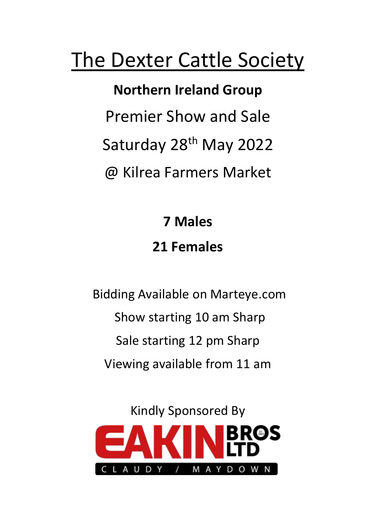# The Dexter Cattle Society

 **Northern Ireland Group** Premier Show and Sale Saturday 28<sup>th</sup> May 2022 @ Kilrea Farmers Market

> **7 Males 21 Females**

 Bidding Available on Marteye.com Show starting 10 am Sharp Sale starting 12 pm Sharp Viewing available from 11 am

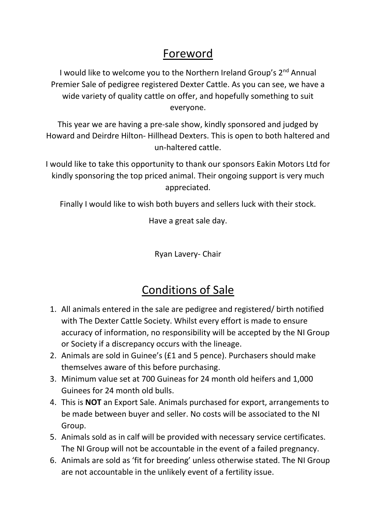# Foreword

I would like to welcome you to the Northern Ireland Group's 2<sup>nd</sup> Annual Premier Sale of pedigree registered Dexter Cattle. As you can see, we have a wide variety of quality cattle on offer, and hopefully something to suit everyone.

This year we are having a pre-sale show, kindly sponsored and judged by Howard and Deirdre Hilton- Hillhead Dexters. This is open to both haltered and un-haltered cattle.

I would like to take this opportunity to thank our sponsors Eakin Motors Ltd for kindly sponsoring the top priced animal. Their ongoing support is very much appreciated.

Finally I would like to wish both buyers and sellers luck with their stock.

Have a great sale day.

Ryan Lavery- Chair

# Conditions of Sale

- 1. All animals entered in the sale are pedigree and registered/ birth notified with The Dexter Cattle Society. Whilst every effort is made to ensure accuracy of information, no responsibility will be accepted by the NI Group or Society if a discrepancy occurs with the lineage.
- 2. Animals are sold in Guinee's (£1 and 5 pence). Purchasers should make themselves aware of this before purchasing.
- 3. Minimum value set at 700 Guineas for 24 month old heifers and 1,000 Guinees for 24 month old bulls.
- 4. This is **NOT** an Export Sale. Animals purchased for export, arrangements to be made between buyer and seller. No costs will be associated to the NI Group.
- 5. Animals sold as in calf will be provided with necessary service certificates. The NI Group will not be accountable in the event of a failed pregnancy.
- 6. Animals are sold as 'fit for breeding' unless otherwise stated. The NI Group are not accountable in the unlikely event of a fertility issue.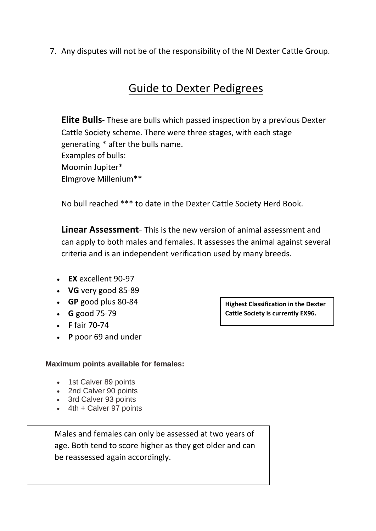7. Any disputes will not be of the responsibility of the NI Dexter Cattle Group.

# Guide to Dexter Pedigrees

**Elite Bulls**- These are bulls which passed inspection by a previous Dexter Cattle Society scheme. There were three stages, with each stage generating \* after the bulls name. Examples of bulls: Moomin Jupiter\* Elmgrove Millenium\*\*

No bull reached \*\*\* to date in the Dexter Cattle Society Herd Book.

**Linear Assessment**- This is the new version of animal assessment and can apply to both males and females. It assesses the animal against several criteria and is an independent verification used by many breeds.

- **EX** excellent 90-97
- **VG** very good 85-89
- **GP** good plus 80-84
- **G** good 75-79
- **F** fair 70-74
- **P** poor 69 and under

#### **Maximum points available for females:**

- 1st Calver 89 points
- 2nd Calver 90 points
- 3rd Calver 93 points
- $\bullet$  4th + Calver 97 points

age. Both tend to score higher as they get older and can<br>be assessed a pair assessitiate Males and females can only be assessed at two years of be reassessed again accordingly.

**Highest Classification in the Dexter Cattle Society is currently EX96.**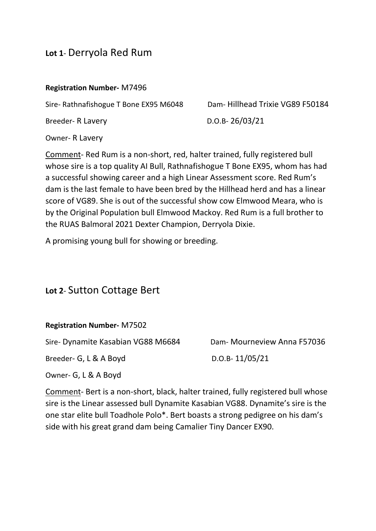## **Lot 1**- Derryola Red Rum

#### **Registration Number-** M7496

Sire- Rathnafishogue T Bone EX95 M6048 Dam- Hillhead Trixie VG89 F50184

Breeder- R Lavery D.O.B- 26/03/21

Owner- R Lavery

Comment- Red Rum is a non-short, red, halter trained, fully registered bull whose sire is a top quality AI Bull, Rathnafishogue T Bone EX95, whom has had a successful showing career and a high Linear Assessment score. Red Rum's dam is the last female to have been bred by the Hillhead herd and has a linear score of VG89. She is out of the successful show cow Elmwood Meara, who is by the Original Population bull Elmwood Mackoy. Red Rum is a full brother to the RUAS Balmoral 2021 Dexter Champion, Derryola Dixie.

A promising young bull for showing or breeding.

## **Lot 2**- Sutton Cottage Bert

#### **Registration Number-** M7502

Sire- Dynamite Kasabian VG88 M6684 Dam- Mourneview Anna F57036

Breeder- G, L & A Boyd D.O.B- 11/05/21

Owner- G, L & A Boyd

Comment- Bert is a non-short, black, halter trained, fully registered bull whose sire is the Linear assessed bull Dynamite Kasabian VG88. Dynamite's sire is the one star elite bull Toadhole Polo\*. Bert boasts a strong pedigree on his dam's side with his great grand dam being Camalier Tiny Dancer EX90.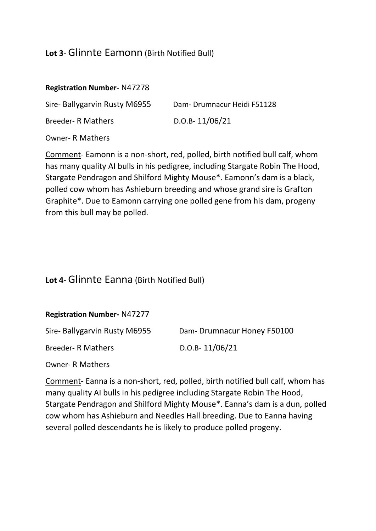#### **Lot 3**- Glinnte Eamonn (Birth Notified Bull)

#### **Registration Number-** N47278

| Sire- Ballygarvin Rusty M6955 | Dam-Drumnacur Heidi F51128 |
|-------------------------------|----------------------------|
| <b>Breeder- R Mathers</b>     | $D.O.B-11/06/21$           |

Owner- R Mathers

Comment- Eamonn is a non-short, red, polled, birth notified bull calf, whom has many quality AI bulls in his pedigree, including Stargate Robin The Hood, Stargate Pendragon and Shilford Mighty Mouse\*. Eamonn's dam is a black, polled cow whom has Ashieburn breeding and whose grand sire is Grafton Graphite\*. Due to Eamonn carrying one polled gene from his dam, progeny from this bull may be polled.

#### **Lot 4**- Glinnte Eanna (Birth Notified Bull)

| <b>Registration Number- N47277</b> |
|------------------------------------|
|------------------------------------|

| Sire- Ballygarvin Rusty M6955 | Dam-Drumnacur Honey F50100 |
|-------------------------------|----------------------------|
| <b>Breeder- R Mathers</b>     | $D.O.B-11/06/21$           |

Owner- R Mathers

Comment- Eanna is a non-short, red, polled, birth notified bull calf, whom has many quality AI bulls in his pedigree including Stargate Robin The Hood, Stargate Pendragon and Shilford Mighty Mouse\*. Eanna's dam is a dun, polled cow whom has Ashieburn and Needles Hall breeding. Due to Eanna having several polled descendants he is likely to produce polled progeny.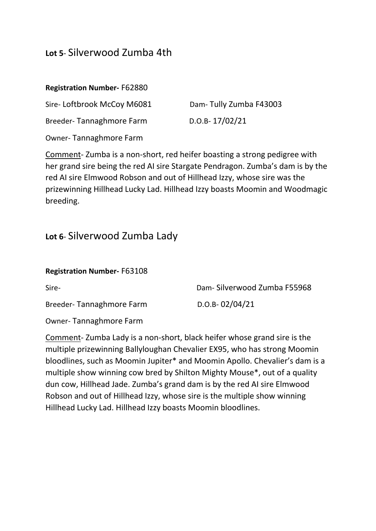## **Lot 5**- Silverwood Zumba 4th

#### **Registration Number-** F62880

Sire- Loftbrook McCoy M6081 Dam- Tully Zumba F43003

Breeder-Tannaghmore Farm D.O.B-17/02/21

Owner- Tannaghmore Farm

Comment- Zumba is a non-short, red heifer boasting a strong pedigree with her grand sire being the red AI sire Stargate Pendragon. Zumba's dam is by the red AI sire Elmwood Robson and out of Hillhead Izzy, whose sire was the prizewinning Hillhead Lucky Lad. Hillhead Izzy boasts Moomin and Woodmagic breeding.

## **Lot 6**- Silverwood Zumba Lady

#### **Registration Number-** F63108

Breeder-Tannaghmore Farm D.O.B- 02/04/21

Sire- Dam- Silverwood Zumba F55968

Owner- Tannaghmore Farm

Comment- Zumba Lady is a non-short, black heifer whose grand sire is the multiple prizewinning Ballyloughan Chevalier EX95, who has strong Moomin bloodlines, such as Moomin Jupiter\* and Moomin Apollo. Chevalier's dam is a multiple show winning cow bred by Shilton Mighty Mouse\*, out of a quality dun cow, Hillhead Jade. Zumba's grand dam is by the red AI sire Elmwood Robson and out of Hillhead Izzy, whose sire is the multiple show winning Hillhead Lucky Lad. Hillhead Izzy boasts Moomin bloodlines.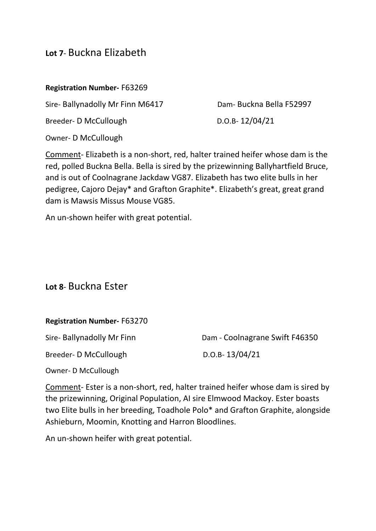## **Lot 7**- Buckna Elizabeth

#### **Registration Number-** F63269

Sire- Ballynadolly Mr Finn M6417 Dam- Buckna Bella F52997

Breeder- D McCullough D.O.B- 12/04/21

Owner- D McCullough

Comment- Elizabeth is a non-short, red, halter trained heifer whose dam is the red, polled Buckna Bella. Bella is sired by the prizewinning Ballyhartfield Bruce, and is out of Coolnagrane Jackdaw VG87. Elizabeth has two elite bulls in her pedigree, Cajoro Dejay\* and Grafton Graphite\*. Elizabeth's great, great grand dam is Mawsis Missus Mouse VG85.

An un-shown heifer with great potential.

#### **Lot 8**- Buckna Ester

#### **Registration Number-** F63270

Breeder- D McCullough D.O.B- 13/04/21

Sire- Ballynadolly Mr Finn Dam - Coolnagrane Swift F46350

Owner- D McCullough

Comment- Ester is a non-short, red, halter trained heifer whose dam is sired by the prizewinning, Original Population, AI sire Elmwood Mackoy. Ester boasts two Elite bulls in her breeding, Toadhole Polo\* and Grafton Graphite, alongside Ashieburn, Moomin, Knotting and Harron Bloodlines.

An un-shown heifer with great potential.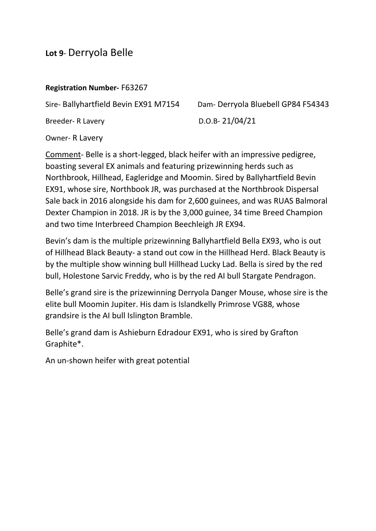## **Lot 9**- Derryola Belle

#### **Registration Number-** F63267

Sire- Ballyhartfield Bevin EX91 M7154 Dam- Derryola Bluebell GP84 F54343

Breeder- R Lavery D.O.B- 21/04/21

Owner- R Lavery

Comment- Belle is a short-legged, black heifer with an impressive pedigree, boasting several EX animals and featuring prizewinning herds such as Northbrook, Hillhead, Eagleridge and Moomin. Sired by Ballyhartfield Bevin EX91, whose sire, Northbook JR, was purchased at the Northbrook Dispersal Sale back in 2016 alongside his dam for 2,600 guinees, and was RUAS Balmoral Dexter Champion in 2018. JR is by the 3,000 guinee, 34 time Breed Champion and two time Interbreed Champion Beechleigh JR EX94.

Bevin's dam is the multiple prizewinning Ballyhartfield Bella EX93, who is out of Hillhead Black Beauty- a stand out cow in the Hillhead Herd. Black Beauty is by the multiple show winning bull Hillhead Lucky Lad. Bella is sired by the red bull, Holestone Sarvic Freddy, who is by the red AI bull Stargate Pendragon.

Belle's grand sire is the prizewinning Derryola Danger Mouse, whose sire is the elite bull Moomin Jupiter. His dam is Islandkelly Primrose VG88, whose grandsire is the AI bull Islington Bramble.

Belle's grand dam is Ashieburn Edradour EX91, who is sired by Grafton Graphite\*.

An un-shown heifer with great potential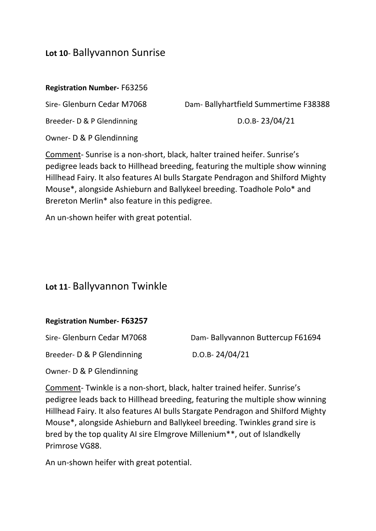## **Lot 10**- Ballyvannon Sunrise

#### **Registration Number-** F63256

Sire- Glenburn Cedar M7068 Dam- Ballyhartfield Summertime F38388

Breeder- D & P Glendinning D.O.B- 23/04/21

Owner- D & P Glendinning

Comment- Sunrise is a non-short, black, halter trained heifer. Sunrise's pedigree leads back to Hillhead breeding, featuring the multiple show winning Hillhead Fairy. It also features AI bulls Stargate Pendragon and Shilford Mighty Mouse\*, alongside Ashieburn and Ballykeel breeding. Toadhole Polo\* and Brereton Merlin\* also feature in this pedigree.

An un-shown heifer with great potential.

## **Lot 11**- Ballyvannon Twinkle

#### **Registration Number- F63257**

Breeder- D & P Glendinning D.O.B- 24/04/21

Sire- Glenburn Cedar M7068 Dam- Ballyvannon Buttercup F61694

Owner- D & P Glendinning

Comment- Twinkle is a non-short, black, halter trained heifer. Sunrise's pedigree leads back to Hillhead breeding, featuring the multiple show winning Hillhead Fairy. It also features AI bulls Stargate Pendragon and Shilford Mighty Mouse\*, alongside Ashieburn and Ballykeel breeding. Twinkles grand sire is bred by the top quality AI sire Elmgrove Millenium\*\*, out of Islandkelly Primrose VG88.

An un-shown heifer with great potential.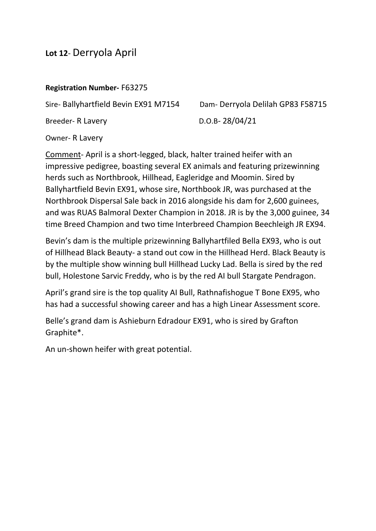## **Lot 12**- Derryola April

#### **Registration Number-** F63275

Sire- Ballyhartfield Bevin EX91 M7154 Dam- Derryola Delilah GP83 F58715

Breeder- R Lavery D.O.B- 28/04/21

Owner- R Lavery

Comment- April is a short-legged, black, halter trained heifer with an impressive pedigree, boasting several EX animals and featuring prizewinning herds such as Northbrook, Hillhead, Eagleridge and Moomin. Sired by Ballyhartfield Bevin EX91, whose sire, Northbook JR, was purchased at the Northbrook Dispersal Sale back in 2016 alongside his dam for 2,600 guinees, and was RUAS Balmoral Dexter Champion in 2018. JR is by the 3,000 guinee, 34 time Breed Champion and two time Interbreed Champion Beechleigh JR EX94.

Bevin's dam is the multiple prizewinning Ballyhartfiled Bella EX93, who is out of Hillhead Black Beauty- a stand out cow in the Hillhead Herd. Black Beauty is by the multiple show winning bull Hillhead Lucky Lad. Bella is sired by the red bull, Holestone Sarvic Freddy, who is by the red AI bull Stargate Pendragon.

April's grand sire is the top quality AI Bull, Rathnafishogue T Bone EX95, who has had a successful showing career and has a high Linear Assessment score.

Belle's grand dam is Ashieburn Edradour EX91, who is sired by Grafton Graphite\*.

An un-shown heifer with great potential.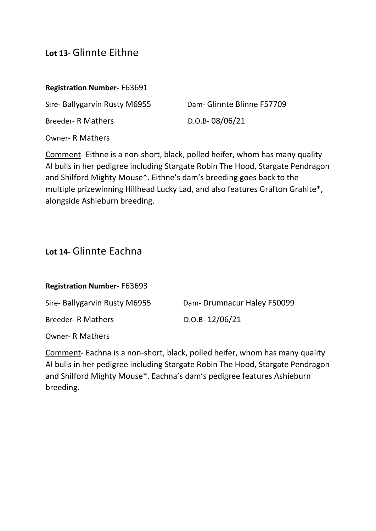## **Lot 13**- Glinnte Eithne

#### **Registration Number-** F63691

Sire- Ballygarvin Rusty M6955 Dam- Glinnte Blinne F57709

Breeder- R Mathers D.O.B- 08/06/21

Owner- R Mathers

Comment- Eithne is a non-short, black, polled heifer, whom has many quality AI bulls in her pedigree including Stargate Robin The Hood, Stargate Pendragon and Shilford Mighty Mouse\*. Eithne's dam's breeding goes back to the multiple prizewinning Hillhead Lucky Lad, and also features Grafton Grahite\*, alongside Ashieburn breeding.

#### **Lot 14**- Glinnte Eachna

**Registration Number**- F63693

Sire- Ballygarvin Rusty M6955 Dam- Drumnacur Haley F50099

Breeder- R Mathers D.O.B- 12/06/21

Owner- R Mathers

Comment- Eachna is a non-short, black, polled heifer, whom has many quality AI bulls in her pedigree including Stargate Robin The Hood, Stargate Pendragon and Shilford Mighty Mouse\*. Eachna's dam's pedigree features Ashieburn breeding.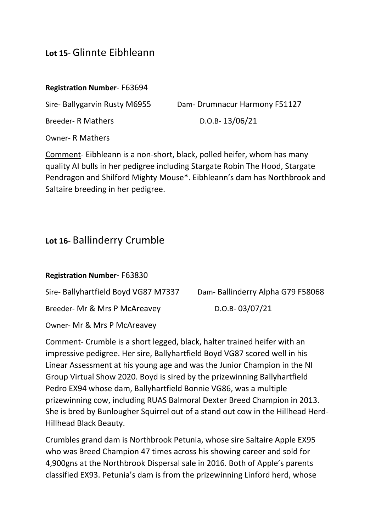## **Lot 15**- Glinnte Eibhleann

#### **Registration Number**- F63694

Sire- Ballygarvin Rusty M6955 Dam- Drumnacur Harmony F51127

Breeder- R Mathers D.O.B- 13/06/21

Owner- R Mathers

Comment- Eibhleann is a non-short, black, polled heifer, whom has many quality AI bulls in her pedigree including Stargate Robin The Hood, Stargate Pendragon and Shilford Mighty Mouse\*. Eibhleann's dam has Northbrook and Saltaire breeding in her pedigree.

## **Lot 16**- Ballinderry Crumble

| <b>Registration Number-F63830</b>    |                                  |
|--------------------------------------|----------------------------------|
| Sire- Ballyhartfield Boyd VG87 M7337 | Dam-Ballinderry Alpha G79 F58068 |
| Breeder- Mr & Mrs P McAreavey        | $D.O.B-03/07/21$                 |
| Owner- Mr & Mrs P McAreavey          |                                  |

Comment- Crumble is a short legged, black, halter trained heifer with an impressive pedigree. Her sire, Ballyhartfield Boyd VG87 scored well in his Linear Assessment at his young age and was the Junior Champion in the NI Group Virtual Show 2020. Boyd is sired by the prizewinning Ballyhartfield Pedro EX94 whose dam, Ballyhartfield Bonnie VG86, was a multiple prizewinning cow, including RUAS Balmoral Dexter Breed Champion in 2013. She is bred by Bunlougher Squirrel out of a stand out cow in the Hillhead Herd-Hillhead Black Beauty.

Crumbles grand dam is Northbrook Petunia, whose sire Saltaire Apple EX95 who was Breed Champion 47 times across his showing career and sold for 4,900gns at the Northbrook Dispersal sale in 2016. Both of Apple's parents classified EX93. Petunia's dam is from the prizewinning Linford herd, whose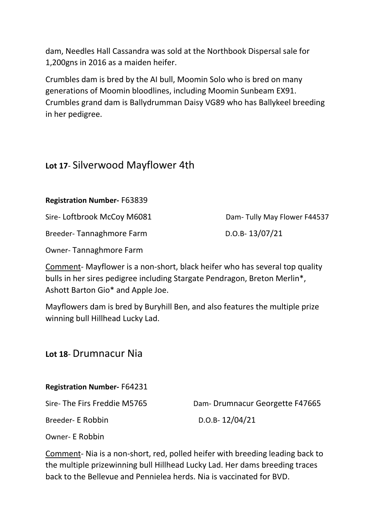dam, Needles Hall Cassandra was sold at the Northbook Dispersal sale for 1,200gns in 2016 as a maiden heifer.

Crumbles dam is bred by the AI bull, Moomin Solo who is bred on many generations of Moomin bloodlines, including Moomin Sunbeam EX91. Crumbles grand dam is Ballydrumman Daisy VG89 who has Ballykeel breeding in her pedigree.

### **Lot 17**- Silverwood Mayflower 4th

**Registration Number-** F63839

Sire- Loftbrook McCoy M6081 Dam- Tully May Flower F44537

Breeder-Tannaghmore Farm D.O.B- 13/07/21

Owner- Tannaghmore Farm

Comment- Mayflower is a non-short, black heifer who has several top quality bulls in her sires pedigree including Stargate Pendragon, Breton Merlin\*, Ashott Barton Gio\* and Apple Joe.

Mayflowers dam is bred by Buryhill Ben, and also features the multiple prize winning bull Hillhead Lucky Lad.

#### **Lot 18**- Drumnacur Nia

**Registration Number-** F64231

Sire- The Firs Freddie M5765 Dam- Drumnacur Georgette F47665

Breeder- E Robbin D.O.B- 12/04/21

Owner- E Robbin

Comment- Nia is a non-short, red, polled heifer with breeding leading back to the multiple prizewinning bull Hillhead Lucky Lad. Her dams breeding traces back to the Bellevue and Pennielea herds. Nia is vaccinated for BVD.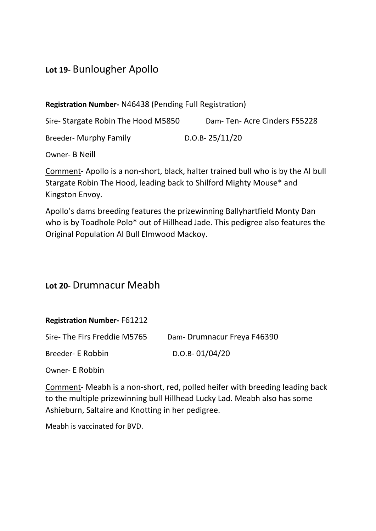## **Lot 19**- Bunlougher Apollo

**Registration Number-** N46438 (Pending Full Registration)

Sire- Stargate Robin The Hood M5850 Dam- Ten- Acre Cinders F55228

Breeder- Murphy Family D.O.B- 25/11/20

Owner- B Neill

Comment- Apollo is a non-short, black, halter trained bull who is by the AI bull Stargate Robin The Hood, leading back to Shilford Mighty Mouse\* and Kingston Envoy.

Apollo's dams breeding features the prizewinning Ballyhartfield Monty Dan who is by Toadhole Polo\* out of Hillhead Jade. This pedigree also features the Original Population AI Bull Elmwood Mackoy.

## **Lot 20**- Drumnacur Meabh

#### **Registration Number-** F61212

Breeder- E Robbin D.O.B- 01/04/20

Owner- E Robbin

Comment- Meabh is a non-short, red, polled heifer with breeding leading back to the multiple prizewinning bull Hillhead Lucky Lad. Meabh also has some Ashieburn, Saltaire and Knotting in her pedigree.

Meabh is vaccinated for BVD.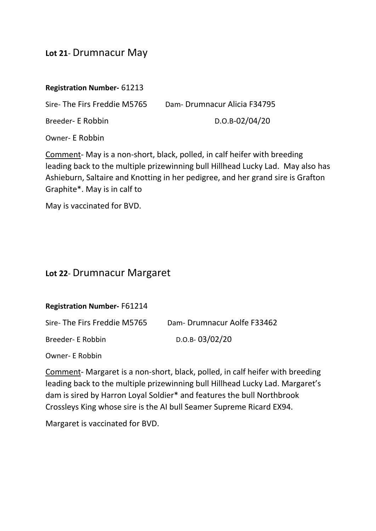## **Lot 21**- Drumnacur May

#### **Registration Number-** 61213

Sire- The Firs Freddie M5765 Dam- Drumnacur Alicia F34795

Breeder- E Robbin D.O.B-02/04/20

Owner- E Robbin

Comment- May is a non-short, black, polled, in calf heifer with breeding leading back to the multiple prizewinning bull Hillhead Lucky Lad. May also has Ashieburn, Saltaire and Knotting in her pedigree, and her grand sire is Grafton Graphite\*. May is in calf to

May is vaccinated for BVD.

#### **Lot 22**- Drumnacur Margaret

**Registration Number-** F61214

| Sire-The Firs Freddie M5765 | Dam-Drumnacur Aolfe F33462 |
|-----------------------------|----------------------------|
| Breeder- E Robbin           | $D.O.B-03/02/20$           |

Owner- E Robbin

Comment- Margaret is a non-short, black, polled, in calf heifer with breeding leading back to the multiple prizewinning bull Hillhead Lucky Lad. Margaret's dam is sired by Harron Loyal Soldier\* and features the bull Northbrook Crossleys King whose sire is the AI bull Seamer Supreme Ricard EX94.

Margaret is vaccinated for BVD.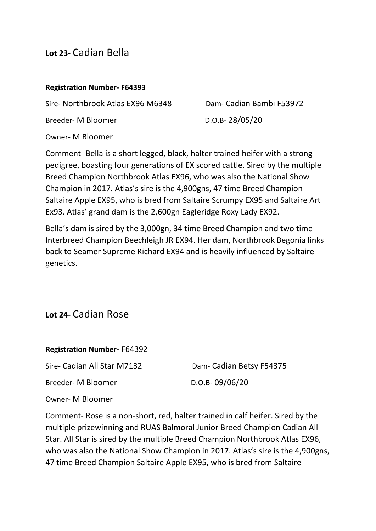#### **Lot 23**- Cadian Bella

#### **Registration Number- F64393**

Sire- Northbrook Atlas EX96 M6348 Dam- Cadian Bambi F53972

Breeder- M Bloomer D.O.B- 28/05/20

Owner- M Bloomer

Comment- Bella is a short legged, black, halter trained heifer with a strong pedigree, boasting four generations of EX scored cattle. Sired by the multiple Breed Champion Northbrook Atlas EX96, who was also the National Show Champion in 2017. Atlas's sire is the 4,900gns, 47 time Breed Champion Saltaire Apple EX95, who is bred from Saltaire Scrumpy EX95 and Saltaire Art Ex93. Atlas' grand dam is the 2,600gn Eagleridge Roxy Lady EX92.

Bella's dam is sired by the 3,000gn, 34 time Breed Champion and two time Interbreed Champion Beechleigh JR EX94. Her dam, Northbrook Begonia links back to Seamer Supreme Richard EX94 and is heavily influenced by Saltaire genetics.

#### **Lot 24**- Cadian Rose

**Registration Number-** F64392

Sire- Cadian All Star M7132 Dam- Cadian Betsy F54375

Breeder- M Bloomer D.O.B- 09/06/20

Owner- M Bloomer

Comment- Rose is a non-short, red, halter trained in calf heifer. Sired by the multiple prizewinning and RUAS Balmoral Junior Breed Champion Cadian All Star. All Star is sired by the multiple Breed Champion Northbrook Atlas EX96, who was also the National Show Champion in 2017. Atlas's sire is the 4,900gns, 47 time Breed Champion Saltaire Apple EX95, who is bred from Saltaire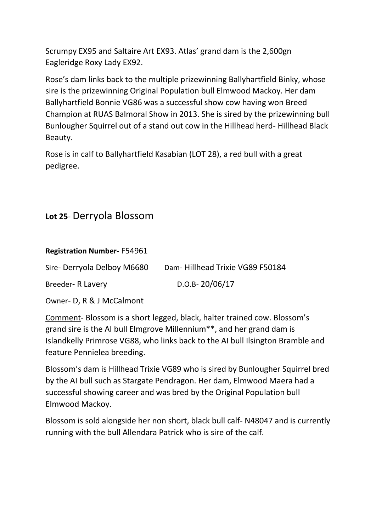Scrumpy EX95 and Saltaire Art EX93. Atlas' grand dam is the 2,600gn Eagleridge Roxy Lady EX92.

Rose's dam links back to the multiple prizewinning Ballyhartfield Binky, whose sire is the prizewinning Original Population bull Elmwood Mackoy. Her dam Ballyhartfield Bonnie VG86 was a successful show cow having won Breed Champion at RUAS Balmoral Show in 2013. She is sired by the prizewinning bull Bunlougher Squirrel out of a stand out cow in the Hillhead herd- Hillhead Black Beauty.

Rose is in calf to Ballyhartfield Kasabian (LOT 28), a red bull with a great pedigree.

## **Lot 25**- Derryola Blossom

| <b>Registration Number-F54961</b> |                                 |
|-----------------------------------|---------------------------------|
| Sire-Derryola Delboy M6680        | Dam-Hillhead Trixie VG89 F50184 |
| Breeder- R Lavery                 | $D.O.B-20/06/17$                |

Owner- D, R & J McCalmont

Comment- Blossom is a short legged, black, halter trained cow. Blossom's grand sire is the AI bull Elmgrove Millennium\*\*, and her grand dam is Islandkelly Primrose VG88, who links back to the AI bull Ilsington Bramble and feature Pennielea breeding.

Blossom's dam is Hillhead Trixie VG89 who is sired by Bunlougher Squirrel bred by the AI bull such as Stargate Pendragon. Her dam, Elmwood Maera had a successful showing career and was bred by the Original Population bull Elmwood Mackoy.

Blossom is sold alongside her non short, black bull calf- N48047 and is currently running with the bull Allendara Patrick who is sire of the calf.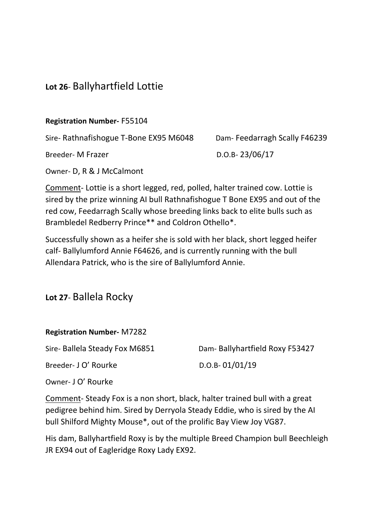## **Lot 26**- Ballyhartfield Lottie

**Registration Number-** F55104

Sire- Rathnafishogue T-Bone EX95 M6048 Dam- Feedarragh Scally F46239

Breeder- M Frazer D.O.B- 23/06/17

Owner- D, R & J McCalmont

Comment- Lottie is a short legged, red, polled, halter trained cow. Lottie is sired by the prize winning AI bull Rathnafishogue T Bone EX95 and out of the red cow, Feedarragh Scally whose breeding links back to elite bulls such as Brambledel Redberry Prince\*\* and Coldron Othello\*.

Successfully shown as a heifer she is sold with her black, short legged heifer calf- Ballylumford Annie F64626, and is currently running with the bull Allendara Patrick, who is the sire of Ballylumford Annie.

## **Lot 27**- Ballela Rocky

#### **Registration Number-** M7282

Breeder- J O' Rourke D.O.B- 01/01/19

Sire- Ballela Steady Fox M6851 Dam- Ballyhartfield Roxy F53427

Owner- J O' Rourke

Comment- Steady Fox is a non short, black, halter trained bull with a great pedigree behind him. Sired by Derryola Steady Eddie, who is sired by the AI bull Shilford Mighty Mouse\*, out of the prolific Bay View Joy VG87.

His dam, Ballyhartfield Roxy is by the multiple Breed Champion bull Beechleigh JR EX94 out of Eagleridge Roxy Lady EX92.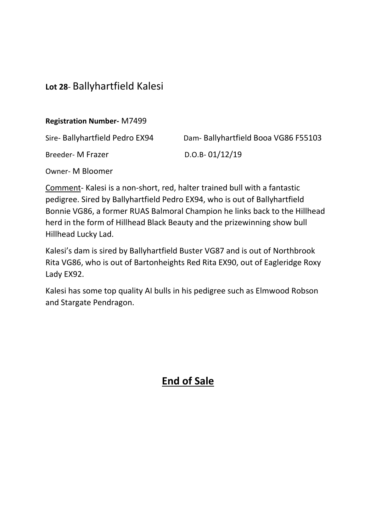## **Lot 28**- Ballyhartfield Kalesi

**Registration Number-** M7499

| Sire- Ballyhartfield Pedro EX94 | Dam- Ballyhartfield Booa VG86 F55103 |
|---------------------------------|--------------------------------------|
| Breeder- M Frazer               | $D.O.B-01/12/19$                     |

Owner- M Bloomer

Comment- Kalesi is a non-short, red, halter trained bull with a fantastic pedigree. Sired by Ballyhartfield Pedro EX94, who is out of Ballyhartfield Bonnie VG86, a former RUAS Balmoral Champion he links back to the Hillhead herd in the form of Hillhead Black Beauty and the prizewinning show bull Hillhead Lucky Lad.

Kalesi's dam is sired by Ballyhartfield Buster VG87 and is out of Northbrook Rita VG86, who is out of Bartonheights Red Rita EX90, out of Eagleridge Roxy Lady EX92.

Kalesi has some top quality AI bulls in his pedigree such as Elmwood Robson and Stargate Pendragon.

# **End of Sale**